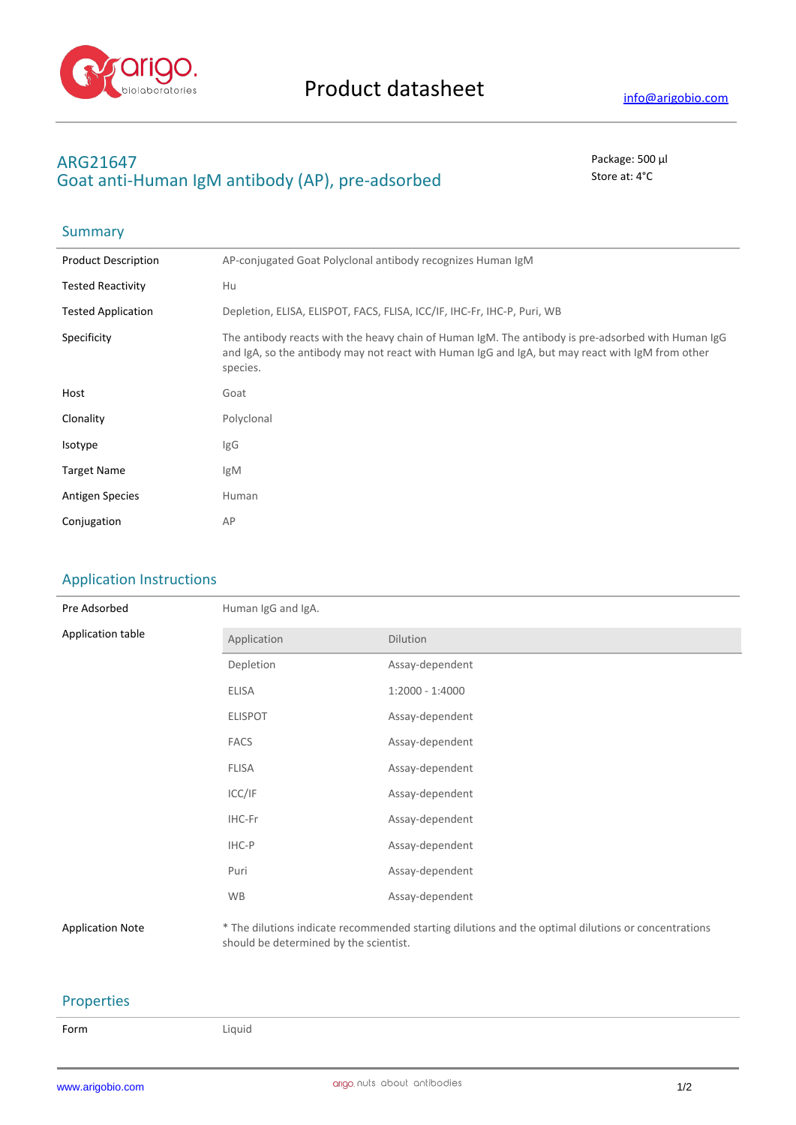

## **ARG21647** Package: 500 μl Goat anti-Human IgM antibody (AP), pre-adsorbed stated state at: 4°C

# Summary

| <b>Product Description</b> | AP-conjugated Goat Polyclonal antibody recognizes Human IgM                                                                                                                                                        |
|----------------------------|--------------------------------------------------------------------------------------------------------------------------------------------------------------------------------------------------------------------|
| <b>Tested Reactivity</b>   | Hu                                                                                                                                                                                                                 |
| <b>Tested Application</b>  | Depletion, ELISA, ELISPOT, FACS, FLISA, ICC/IF, IHC-Fr, IHC-P, Puri, WB                                                                                                                                            |
| Specificity                | The antibody reacts with the heavy chain of Human IgM. The antibody is pre-adsorbed with Human IgG<br>and IgA, so the antibody may not react with Human IgG and IgA, but may react with IgM from other<br>species. |
| Host                       | Goat                                                                                                                                                                                                               |
| Clonality                  | Polyclonal                                                                                                                                                                                                         |
| Isotype                    | IgG                                                                                                                                                                                                                |
| <b>Target Name</b>         | IgM                                                                                                                                                                                                                |
| <b>Antigen Species</b>     | Human                                                                                                                                                                                                              |
| Conjugation                | AP                                                                                                                                                                                                                 |

## Application Instructions

| Pre Adsorbed            | Human IgG and IgA. |                                                                                                     |  |  |
|-------------------------|--------------------|-----------------------------------------------------------------------------------------------------|--|--|
| Application table       | Application        | Dilution                                                                                            |  |  |
|                         | Depletion          | Assay-dependent                                                                                     |  |  |
|                         | <b>ELISA</b>       | $1:2000 - 1:4000$                                                                                   |  |  |
|                         | <b>ELISPOT</b>     | Assay-dependent                                                                                     |  |  |
|                         | <b>FACS</b>        | Assay-dependent                                                                                     |  |  |
|                         | <b>FLISA</b>       | Assay-dependent                                                                                     |  |  |
|                         | ICC/IF             | Assay-dependent                                                                                     |  |  |
|                         | IHC-Fr             | Assay-dependent                                                                                     |  |  |
|                         | IHC-P              | Assay-dependent                                                                                     |  |  |
|                         | Puri               | Assay-dependent                                                                                     |  |  |
|                         | <b>WB</b>          | Assay-dependent                                                                                     |  |  |
| <b>Application Note</b> |                    | * The dilutions indicate recommended starting dilutions and the optimal dilutions or concentrations |  |  |

should be determined by the scientist.

## Properties

| ۰.<br>× |  |  |
|---------|--|--|